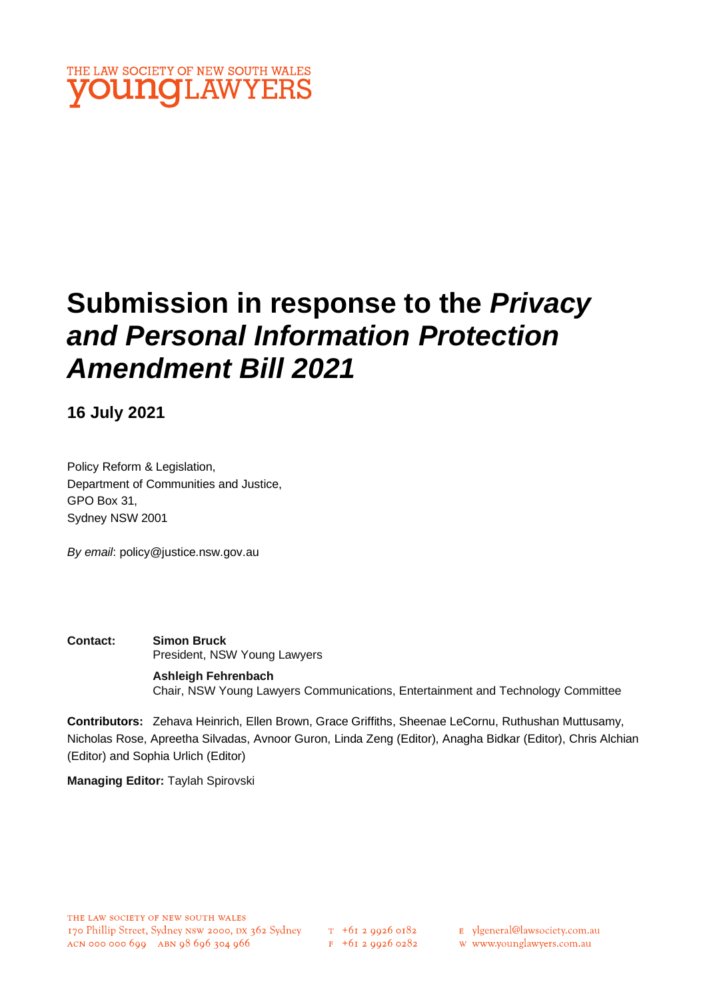

# **Submission in response to the** *Privacy and Personal Information Protection Amendment Bill 2021*

**16 July 2021**

Policy Reform & Legislation, Department of Communities and Justice, GPO Box 31, Sydney NSW 2001

*By email*: policy@justice.nsw.gov.au

**Contact: Simon Bruck** President, NSW Young Lawyers

> **Ashleigh Fehrenbach** Chair, NSW Young Lawyers Communications, Entertainment and Technology Committee

**Contributors:** Zehava Heinrich, Ellen Brown, Grace Griffiths, Sheenae LeCornu, Ruthushan Muttusamy, Nicholas Rose, Apreetha Silvadas, Avnoor Guron, Linda Zeng (Editor), Anagha Bidkar (Editor), Chris Alchian (Editor) and Sophia Urlich (Editor)

**Managing Editor:** Taylah Spirovski

- E ylgeneral@lawsociety.com.au
- w www.younglawyers.com.au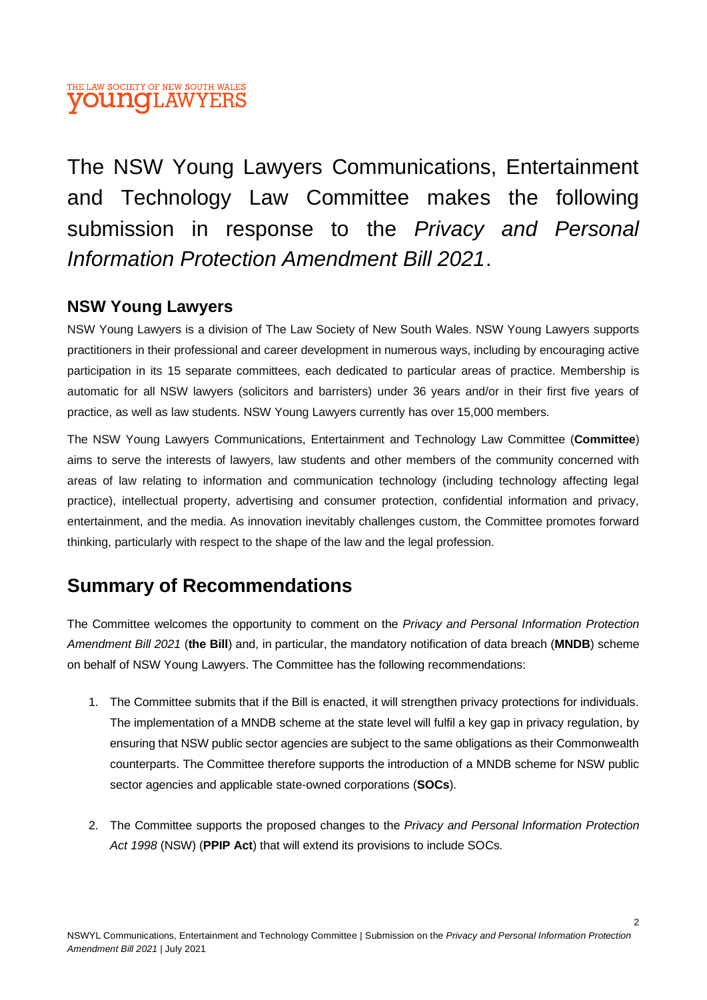# THE LAW SOCIETY OF NEW SOUTH WALES **YOUNGLAWYERS**

The NSW Young Lawyers Communications, Entertainment and Technology Law Committee makes the following submission in response to the *Privacy and Personal Information Protection Amendment Bill 2021*.

# **NSW Young Lawyers**

NSW Young Lawyers is a division of The Law Society of New South Wales. NSW Young Lawyers supports practitioners in their professional and career development in numerous ways, including by encouraging active participation in its 15 separate committees, each dedicated to particular areas of practice. Membership is automatic for all NSW lawyers (solicitors and barristers) under 36 years and/or in their first five years of practice, as well as law students. NSW Young Lawyers currently has over 15,000 members.

The NSW Young Lawyers Communications, Entertainment and Technology Law Committee (**Committee**) aims to serve the interests of lawyers, law students and other members of the community concerned with areas of law relating to information and communication technology (including technology affecting legal practice), intellectual property, advertising and consumer protection, confidential information and privacy, entertainment, and the media. As innovation inevitably challenges custom, the Committee promotes forward thinking, particularly with respect to the shape of the law and the legal profession.

# **Summary of Recommendations**

The Committee welcomes the opportunity to comment on the *Privacy and Personal Information Protection Amendment Bill 2021* (**the Bill**) and, in particular, the mandatory notification of data breach (**MNDB**) scheme on behalf of NSW Young Lawyers. The Committee has the following recommendations:

- 1. The Committee submits that if the Bill is enacted, it will strengthen privacy protections for individuals. The implementation of a MNDB scheme at the state level will fulfil a key gap in privacy regulation, by ensuring that NSW public sector agencies are subject to the same obligations as their Commonwealth counterparts. The Committee therefore supports the introduction of a MNDB scheme for NSW public sector agencies and applicable state-owned corporations (**SOCs**).
- 2. The Committee supports the proposed changes to the *Privacy and Personal Information Protection Act 1998* (NSW) (**PPIP Act**) that will extend its provisions to include SOCs.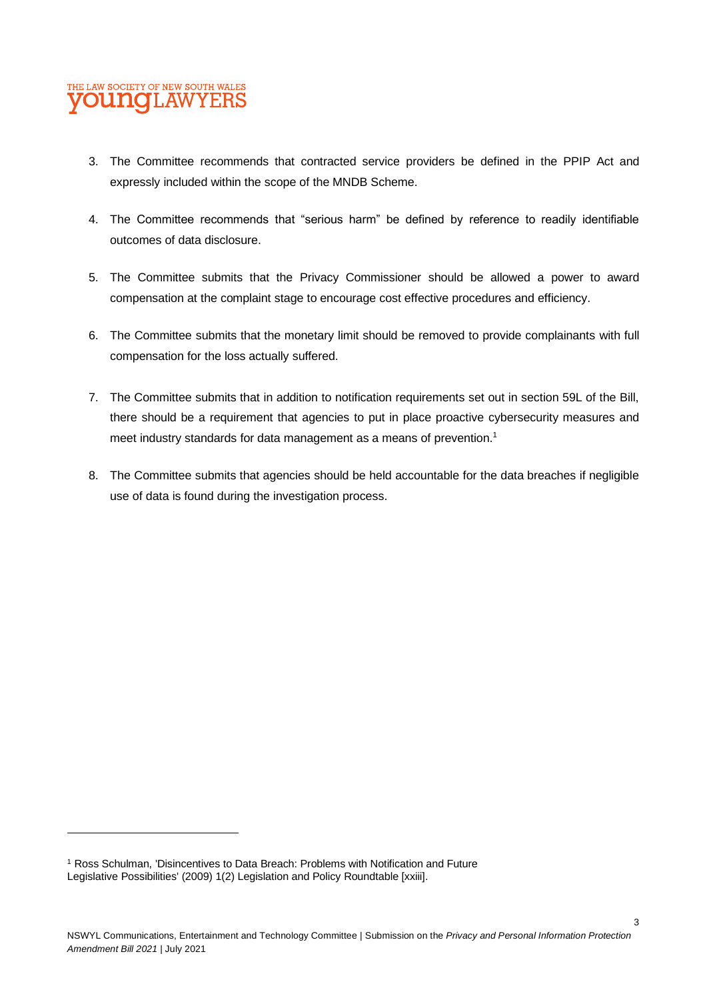- 3. The Committee recommends that contracted service providers be defined in the PPIP Act and expressly included within the scope of the MNDB Scheme.
- 4. The Committee recommends that "serious harm" be defined by reference to readily identifiable outcomes of data disclosure.
- 5. The Committee submits that the Privacy Commissioner should be allowed a power to award compensation at the complaint stage to encourage cost effective procedures and efficiency.
- 6. The Committee submits that the monetary limit should be removed to provide complainants with full compensation for the loss actually suffered.
- 7. The Committee submits that in addition to notification requirements set out in section 59L of the Bill, there should be a requirement that agencies to put in place proactive cybersecurity measures and meet industry standards for data management as a means of prevention.<sup>1</sup>
- 8. The Committee submits that agencies should be held accountable for the data breaches if negligible use of data is found during the investigation process.

<sup>1</sup> Ross Schulman, 'Disincentives to Data Breach: Problems with Notification and Future Legislative Possibilities' (2009) 1(2) Legislation and Policy Roundtable [xxiii].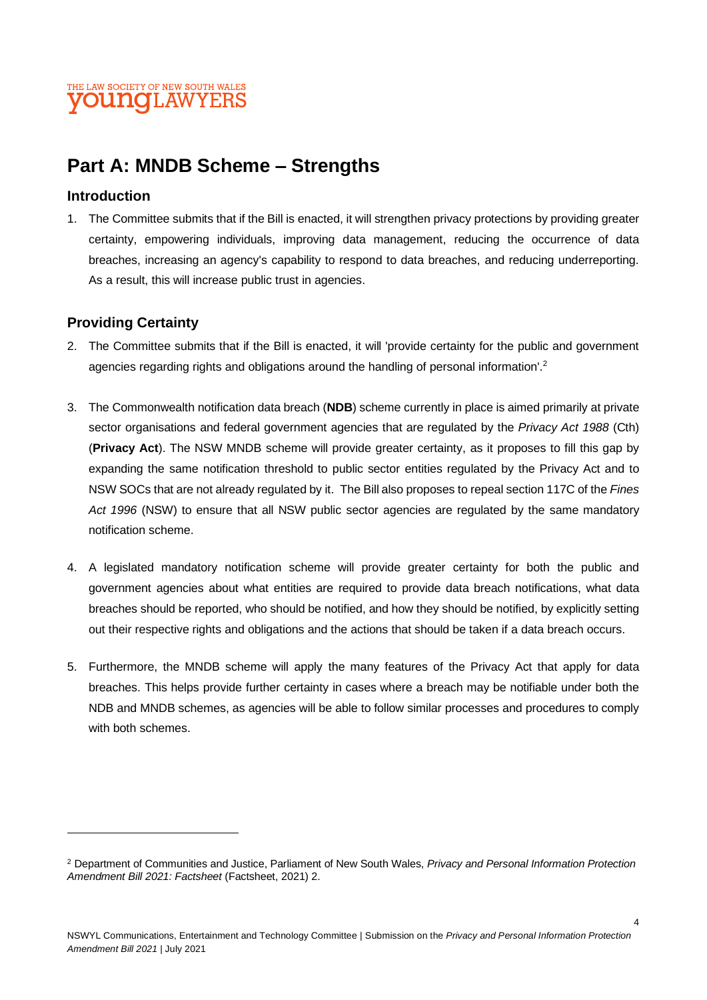# **Part A: MNDB Scheme – Strengths**

### **Introduction**

1. The Committee submits that if the Bill is enacted, it will strengthen privacy protections by providing greater certainty, empowering individuals, improving data management, reducing the occurrence of data breaches, increasing an agency's capability to respond to data breaches, and reducing underreporting. As a result, this will increase public trust in agencies.

# **Providing Certainty**

- 2. The Committee submits that if the Bill is enacted, it will 'provide certainty for the public and government agencies regarding rights and obligations around the handling of personal information'.<sup>2</sup>
- 3. The Commonwealth notification data breach (**NDB**) scheme currently in place is aimed primarily at private sector organisations and federal government agencies that are regulated by the *Privacy Act 1988* (Cth) (**Privacy Act**). The NSW MNDB scheme will provide greater certainty, as it proposes to fill this gap by expanding the same notification threshold to public sector entities regulated by the Privacy Act and to NSW SOCs that are not already regulated by it. The Bill also proposes to repeal section 117C of the *Fines*  Act 1996 (NSW) to ensure that all NSW public sector agencies are regulated by the same mandatory notification scheme.
- 4. A legislated mandatory notification scheme will provide greater certainty for both the public and government agencies about what entities are required to provide data breach notifications, what data breaches should be reported, who should be notified, and how they should be notified, by explicitly setting out their respective rights and obligations and the actions that should be taken if a data breach occurs.
- 5. Furthermore, the MNDB scheme will apply the many features of the Privacy Act that apply for data breaches. This helps provide further certainty in cases where a breach may be notifiable under both the NDB and MNDB schemes, as agencies will be able to follow similar processes and procedures to comply with both schemes.

<sup>2</sup> Department of Communities and Justice, Parliament of New South Wales, *Privacy and Personal Information Protection Amendment Bill 2021: Factsheet* (Factsheet, 2021) 2.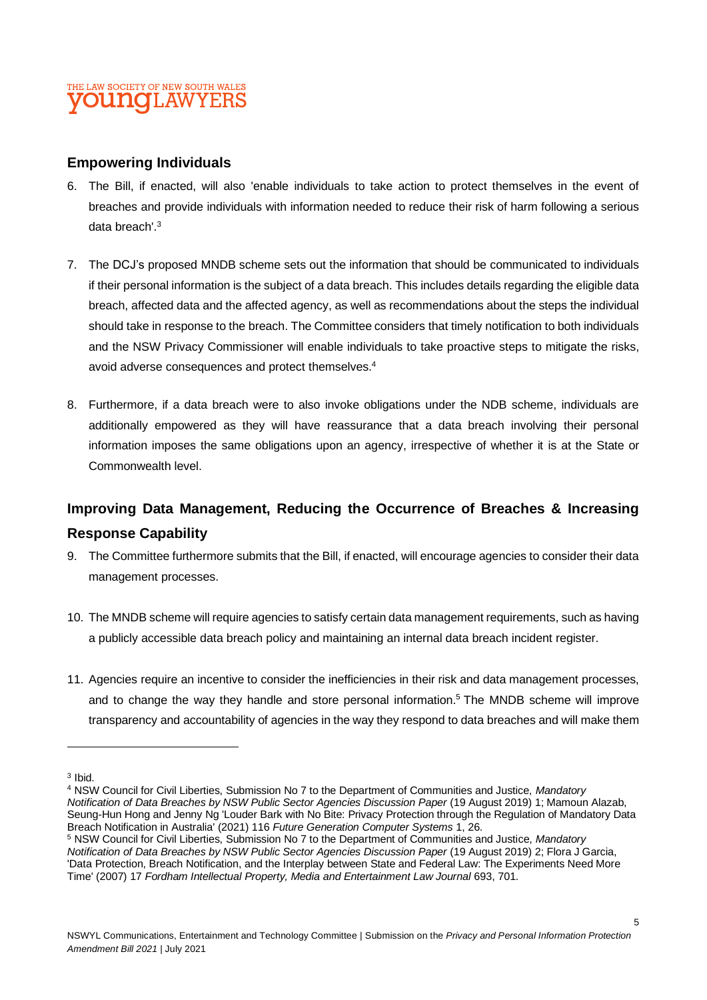#### **Empowering Individuals**

- 6. The Bill, if enacted, will also 'enable individuals to take action to protect themselves in the event of breaches and provide individuals with information needed to reduce their risk of harm following a serious data breach'. 3
- 7. The DCJ's proposed MNDB scheme sets out the information that should be communicated to individuals if their personal information is the subject of a data breach. This includes details regarding the eligible data breach, affected data and the affected agency, as well as recommendations about the steps the individual should take in response to the breach. The Committee considers that timely notification to both individuals and the NSW Privacy Commissioner will enable individuals to take proactive steps to mitigate the risks, avoid adverse consequences and protect themselves. 4
- 8. Furthermore, if a data breach were to also invoke obligations under the NDB scheme, individuals are additionally empowered as they will have reassurance that a data breach involving their personal information imposes the same obligations upon an agency, irrespective of whether it is at the State or Commonwealth level.

# **Improving Data Management, Reducing the Occurrence of Breaches & Increasing Response Capability**

- 9. The Committee furthermore submits that the Bill, if enacted, will encourage agencies to consider their data management processes.
- 10. The MNDB scheme will require agencies to satisfy certain data management requirements, such as having a publicly accessible data breach policy and maintaining an internal data breach incident register.
- 11. Agencies require an incentive to consider the inefficiencies in their risk and data management processes, and to change the way they handle and store personal information.<sup>5</sup> The MNDB scheme will improve transparency and accountability of agencies in the way they respond to data breaches and will make them

<sup>&</sup>lt;sup>3</sup> Ibid.

<sup>4</sup> NSW Council for Civil Liberties, Submission No 7 to the Department of Communities and Justice, *Mandatory Notification of Data Breaches by NSW Public Sector Agencies Discussion Paper* (19 August 2019) 1; Mamoun Alazab, Seung-Hun Hong and Jenny Ng 'Louder Bark with No Bite: Privacy Protection through the Regulation of Mandatory Data Breach Notification in Australia' (2021) 116 *Future Generation Computer Systems* 1, 26.

<sup>5</sup> NSW Council for Civil Liberties, Submission No 7 to the Department of Communities and Justice, *Mandatory Notification of Data Breaches by NSW Public Sector Agencies Discussion Paper (19 August 2019) 2; Flora J Garcia,* 'Data Protection, Breach Notification, and the Interplay between State and Federal Law: The Experiments Need More Time' (2007) 17 *Fordham Intellectual Property, Media and Entertainment Law Journal* 693, 701.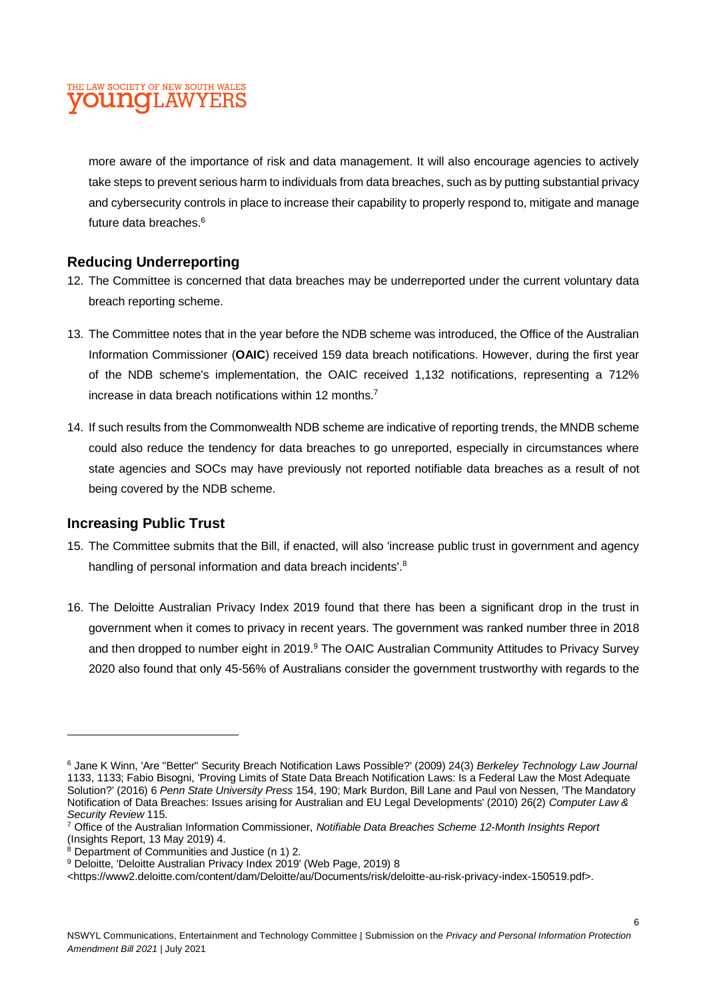more aware of the importance of risk and data management. It will also encourage agencies to actively take steps to prevent serious harm to individuals from data breaches, such as by putting substantial privacy and cybersecurity controls in place to increase their capability to properly respond to, mitigate and manage future data breaches.<sup>6</sup>

### **Reducing Underreporting**

- 12. The Committee is concerned that data breaches may be underreported under the current voluntary data breach reporting scheme.
- 13. The Committee notes that in the year before the NDB scheme was introduced, the Office of the Australian Information Commissioner (**OAIC**) received 159 data breach notifications. However, during the first year of the NDB scheme's implementation, the OAIC received 1,132 notifications, representing a 712% increase in data breach notifications within 12 months.<sup>7</sup>
- 14. If such results from the Commonwealth NDB scheme are indicative of reporting trends, the MNDB scheme could also reduce the tendency for data breaches to go unreported, especially in circumstances where state agencies and SOCs may have previously not reported notifiable data breaches as a result of not being covered by the NDB scheme.

#### **Increasing Public Trust**

- 15. The Committee submits that the Bill, if enacted, will also 'increase public trust in government and agency handling of personal information and data breach incidents'.<sup>8</sup>
- 16. The Deloitte Australian Privacy Index 2019 found that there has been a significant drop in the trust in government when it comes to privacy in recent years. The government was ranked number three in 2018 and then dropped to number eight in 2019.<sup>9</sup> The OAIC Australian Community Attitudes to Privacy Survey 2020 also found that only 45-56% of Australians consider the government trustworthy with regards to the

<sup>6</sup> Jane K Winn, 'Are "Better" Security Breach Notification Laws Possible?' (2009) 24(3) *Berkeley Technology Law Journal*  1133, 1133; Fabio Bisogni, 'Proving Limits of State Data Breach Notification Laws: Is a Federal Law the Most Adequate Solution?' (2016) 6 *Penn State University Press* 154, 190; Mark Burdon, Bill Lane and Paul von Nessen, 'The Mandatory Notification of Data Breaches: Issues arising for Australian and EU Legal Developments' (2010) 26(2) *Computer Law & Security Review* 115.

<sup>7</sup> Office of the Australian Information Commissioner, *Notifiable Data Breaches Scheme 12-Month Insights Report*  (Insights Report, 13 May 2019) 4.

 $8$  Department of Communities and Justice (n 1) 2.

<sup>9</sup> Deloitte, 'Deloitte Australian Privacy Index 2019' (Web Page, 2019) 8

<sup>&</sup>lt;https://www2.deloitte.com/content/dam/Deloitte/au/Documents/risk/deloitte-au-risk-privacy-index-150519.pdf>.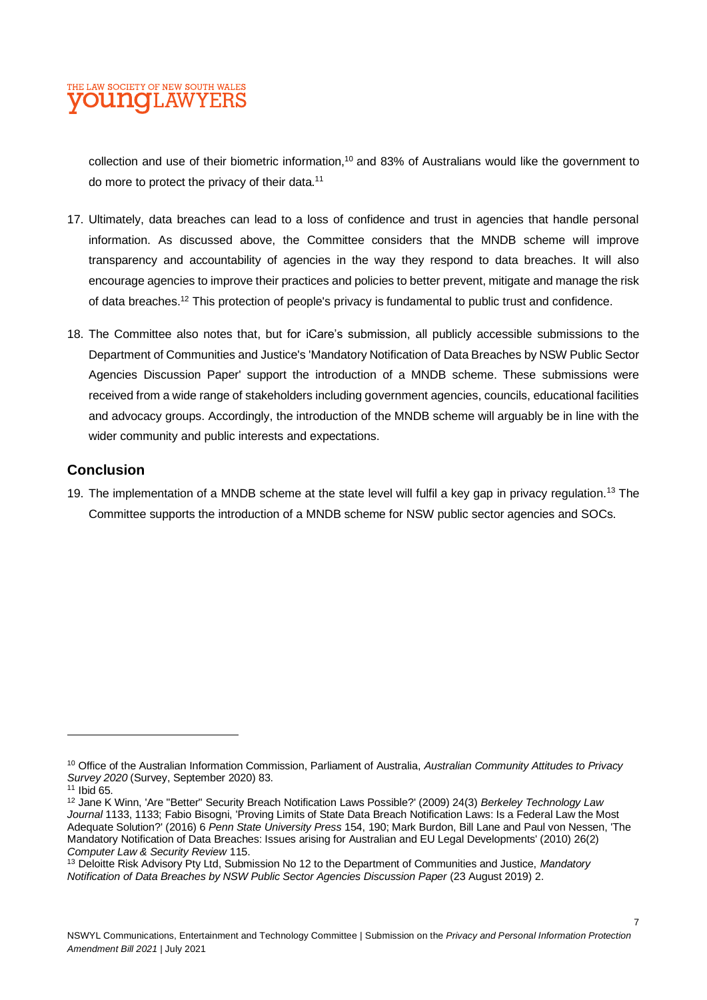collection and use of their biometric information,<sup>10</sup> and 83% of Australians would like the government to do more to protect the privacy of their data.<sup>11</sup>

- 17. Ultimately, data breaches can lead to a loss of confidence and trust in agencies that handle personal information. As discussed above, the Committee considers that the MNDB scheme will improve transparency and accountability of agencies in the way they respond to data breaches. It will also encourage agencies to improve their practices and policies to better prevent, mitigate and manage the risk of data breaches.<sup>12</sup> This protection of people's privacy is fundamental to public trust and confidence.
- 18. The Committee also notes that, but for iCare's submission, all publicly accessible submissions to the Department of Communities and Justice's 'Mandatory Notification of Data Breaches by NSW Public Sector Agencies Discussion Paper' support the introduction of a MNDB scheme. These submissions were received from a wide range of stakeholders including government agencies, councils, educational facilities and advocacy groups. Accordingly, the introduction of the MNDB scheme will arguably be in line with the wider community and public interests and expectations.

#### **Conclusion**

19. The implementation of a MNDB scheme at the state level will fulfil a key gap in privacy regulation.<sup>13</sup> The Committee supports the introduction of a MNDB scheme for NSW public sector agencies and SOCs.

<sup>10</sup> Office of the Australian Information Commission, Parliament of Australia, *Australian Community Attitudes to Privacy Survey 2020* (Survey, September 2020) 83.

 $11$  Ibid  $65$ .

<sup>12</sup> Jane K Winn, 'Are "Better" Security Breach Notification Laws Possible?' (2009) 24(3) *Berkeley Technology Law Journal* 1133, 1133; Fabio Bisogni, 'Proving Limits of State Data Breach Notification Laws: Is a Federal Law the Most Adequate Solution?' (2016) 6 *Penn State University Press* 154, 190; Mark Burdon, Bill Lane and Paul von Nessen, 'The Mandatory Notification of Data Breaches: Issues arising for Australian and EU Legal Developments' (2010) 26(2) *Computer Law & Security Review* 115.

<sup>13</sup> Deloitte Risk Advisory Pty Ltd, Submission No 12 to the Department of Communities and Justice, *Mandatory Notification of Data Breaches by NSW Public Sector Agencies Discussion Paper* (23 August 2019) 2.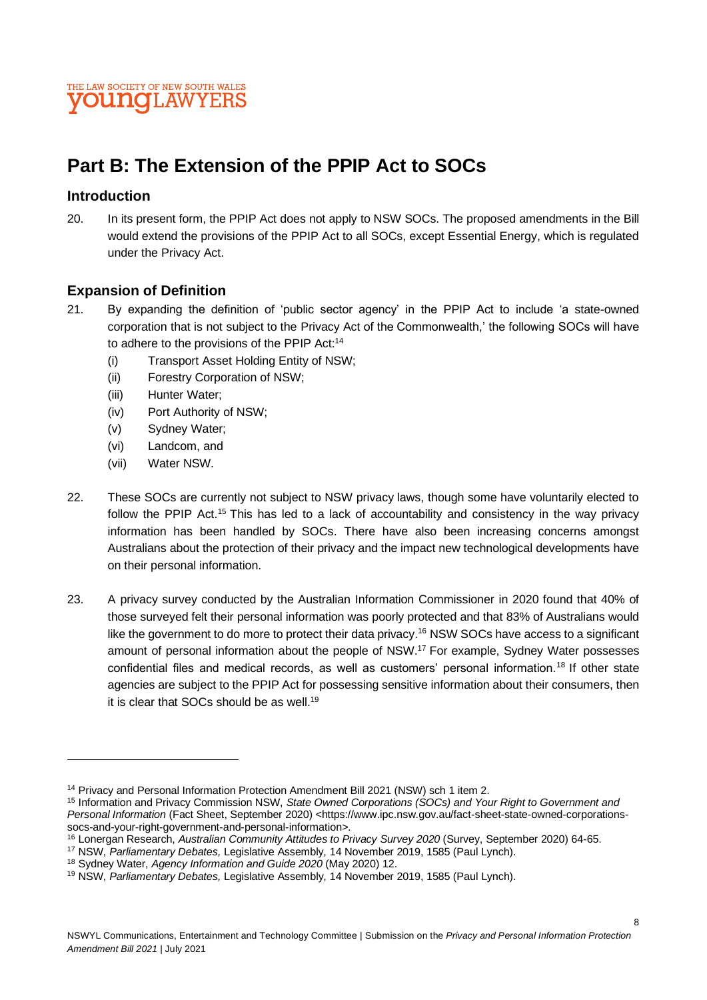

# **Part B: The Extension of the PPIP Act to SOCs**

#### **Introduction**

20. In its present form, the PPIP Act does not apply to NSW SOCs. The proposed amendments in the Bill would extend the provisions of the PPIP Act to all SOCs, except Essential Energy, which is regulated under the Privacy Act.

#### **Expansion of Definition**

- 21. By expanding the definition of 'public sector agency' in the PPIP Act to include 'a state-owned corporation that is not subject to the Privacy Act of the Commonwealth,' the following SOCs will have to adhere to the provisions of the PPIP Act:<sup>14</sup>
	- (i) Transport Asset Holding Entity of NSW;
	- (ii) Forestry Corporation of NSW;
	- (iii) Hunter Water;
	- (iv) Port Authority of NSW;
	- (v) Sydney Water;
	- (vi) Landcom, and
	- (vii) Water NSW.
- 22. These SOCs are currently not subject to NSW privacy laws, though some have voluntarily elected to follow the PPIP Act.<sup>15</sup> This has led to a lack of accountability and consistency in the way privacy information has been handled by SOCs. There have also been increasing concerns amongst Australians about the protection of their privacy and the impact new technological developments have on their personal information.
- 23. A privacy survey conducted by the Australian Information Commissioner in 2020 found that 40% of those surveyed felt their personal information was poorly protected and that 83% of Australians would like the government to do more to protect their data privacy.<sup>16</sup> NSW SOCs have access to a significant amount of personal information about the people of NSW.<sup>17</sup> For example, Sydney Water possesses confidential files and medical records, as well as customers' personal information.<sup>18</sup> If other state agencies are subject to the PPIP Act for possessing sensitive information about their consumers, then it is clear that SOCs should be as well.<sup>19</sup>

<sup>14</sup> Privacy and Personal Information Protection Amendment Bill 2021 (NSW) sch 1 item 2.

<sup>15</sup> Information and Privacy Commission NSW, *State Owned Corporations (SOCs) and Your Right to Government and Personal Information* (Fact Sheet, September 2020) <https://www.ipc.nsw.gov.au/fact-sheet-state-owned-corporationssocs-and-your-right-government-and-personal-information>.

<sup>16</sup> Lonergan Research, *Australian Community Attitudes to Privacy Survey 2020* (Survey, September 2020) 64-65.

<sup>17</sup> NSW, *Parliamentary Debates,* Legislative Assembly, 14 November 2019, 1585 (Paul Lynch).

<sup>18</sup> Sydney Water, *Agency Information and Guide 2020* (May 2020) 12.

<sup>19</sup> NSW, *Parliamentary Debates,* Legislative Assembly, 14 November 2019, 1585 (Paul Lynch).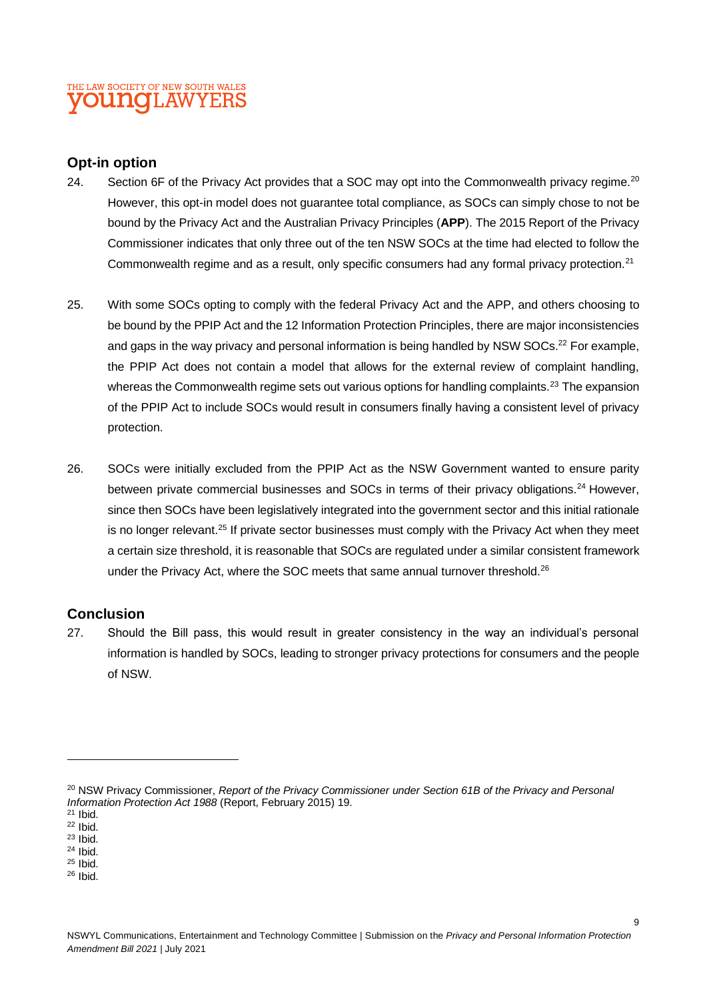## THE LAW SOCIETY OF NEW SOUTH WALES **YOUNG**LAWYERS

#### **Opt-in option**

- 24. Section 6F of the Privacy Act provides that a SOC may opt into the Commonwealth privacy regime.<sup>20</sup> However, this opt-in model does not guarantee total compliance, as SOCs can simply chose to not be bound by the Privacy Act and the Australian Privacy Principles (**APP**). The 2015 Report of the Privacy Commissioner indicates that only three out of the ten NSW SOCs at the time had elected to follow the Commonwealth regime and as a result, only specific consumers had any formal privacy protection.<sup>21</sup>
- 25. With some SOCs opting to comply with the federal Privacy Act and the APP, and others choosing to be bound by the PPIP Act and the 12 Information Protection Principles, there are major inconsistencies and gaps in the way privacy and personal information is being handled by NSW SOCs.<sup>22</sup> For example, the PPIP Act does not contain a model that allows for the external review of complaint handling, whereas the Commonwealth regime sets out various options for handling complaints.<sup>23</sup> The expansion of the PPIP Act to include SOCs would result in consumers finally having a consistent level of privacy protection.
- 26. SOCs were initially excluded from the PPIP Act as the NSW Government wanted to ensure parity between private commercial businesses and SOCs in terms of their privacy obligations.<sup>24</sup> However, since then SOCs have been legislatively integrated into the government sector and this initial rationale is no longer relevant.<sup>25</sup> If private sector businesses must comply with the Privacy Act when they meet a certain size threshold, it is reasonable that SOCs are regulated under a similar consistent framework under the Privacy Act, where the SOC meets that same annual turnover threshold.<sup>26</sup>

## **Conclusion**

27. Should the Bill pass, this would result in greater consistency in the way an individual's personal information is handled by SOCs, leading to stronger privacy protections for consumers and the people of NSW.

<sup>26</sup> Ibid.

<sup>&</sup>lt;sup>20</sup> NSW Privacy Commissioner, *Report of the Privacy Commissioner under Section 61B of the Privacy and Personal Information Protection Act 1988* (Report, February 2015) 19.

 $21$  Ihid.

 $22$  Ibid.  $23$  Ibid.

<sup>24</sup> Ibid.

<sup>25</sup> Ibid.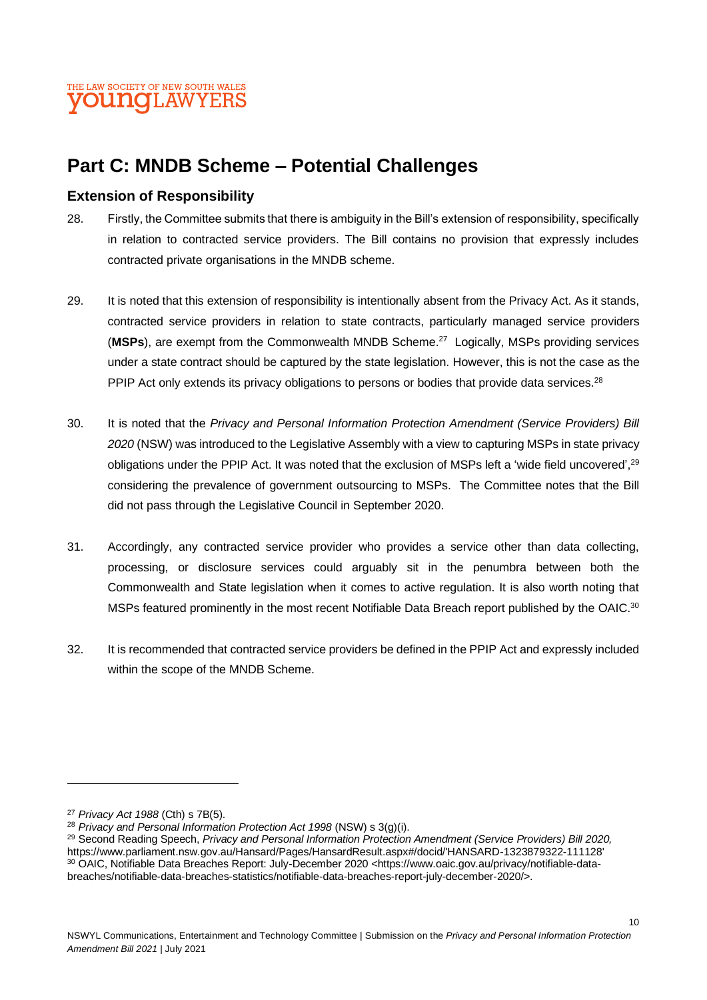# **Part C: MNDB Scheme – Potential Challenges**

#### **Extension of Responsibility**

- 28. Firstly, the Committee submits that there is ambiguity in the Bill's extension of responsibility, specifically in relation to contracted service providers. The Bill contains no provision that expressly includes contracted private organisations in the MNDB scheme.
- 29. It is noted that this extension of responsibility is intentionally absent from the Privacy Act. As it stands, contracted service providers in relation to state contracts, particularly managed service providers (**MSPs**), are exempt from the Commonwealth MNDB Scheme.<sup>27</sup> Logically, MSPs providing services under a state contract should be captured by the state legislation. However, this is not the case as the PPIP Act only extends its privacy obligations to persons or bodies that provide data services.<sup>28</sup>
- 30. It is noted that the *Privacy and Personal Information Protection Amendment (Service Providers) Bill 2020* (NSW) was introduced to the Legislative Assembly with a view to capturing MSPs in state privacy obligations under the PPIP Act. It was noted that the exclusion of MSPs left a 'wide field uncovered',<sup>29</sup> considering the prevalence of government outsourcing to MSPs. The Committee notes that the Bill did not pass through the Legislative Council in September 2020.
- 31. Accordingly, any contracted service provider who provides a service other than data collecting, processing, or disclosure services could arguably sit in the penumbra between both the Commonwealth and State legislation when it comes to active regulation. It is also worth noting that MSPs featured prominently in the most recent Notifiable Data Breach report published by the OAIC.<sup>30</sup>
- 32. It is recommended that contracted service providers be defined in the PPIP Act and expressly included within the scope of the MNDB Scheme.

<sup>27</sup> *Privacy Act 1988* (Cth) s 7B(5).

<sup>28</sup> *Privacy and Personal Information Protection Act 1998* (NSW) s 3(g)(i).

<sup>29</sup> Second Reading Speech, *Privacy and Personal Information Protection Amendment (Service Providers) Bill 2020,*  https://www.parliament.nsw.gov.au/Hansard/Pages/HansardResult.aspx#/docid/'HANSARD-1323879322-111128' <sup>30</sup> OAIC, Notifiable Data Breaches Report: July-December 2020 <https://www.oaic.gov.au/privacy/notifiable-databreaches/notifiable-data-breaches-statistics/notifiable-data-breaches-report-july-december-2020/>.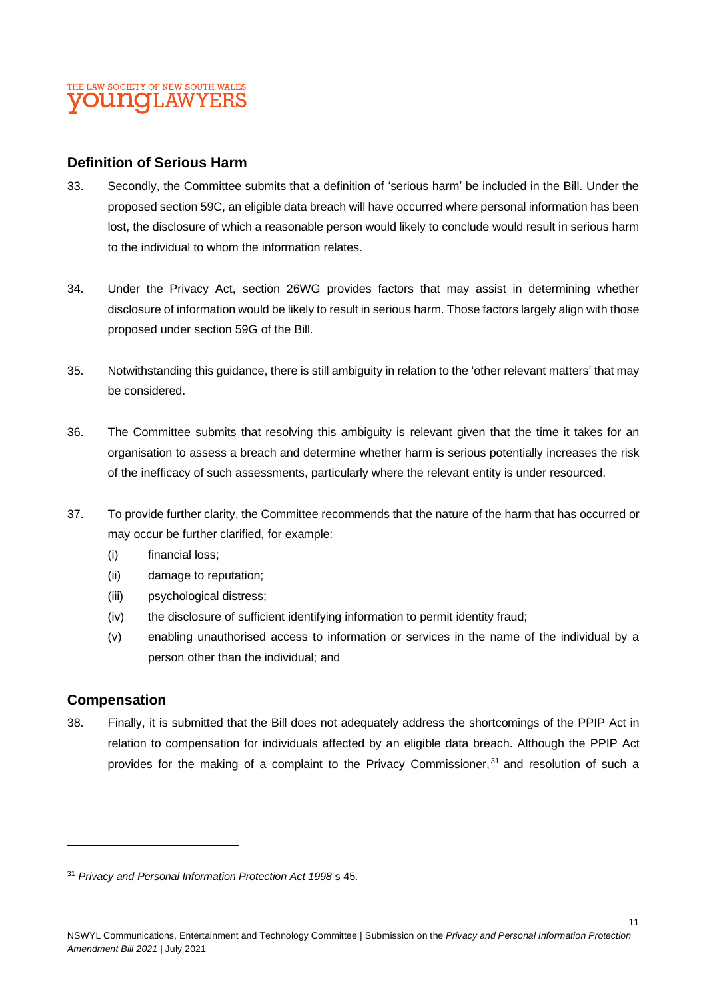#### **Definition of Serious Harm**

- 33. Secondly, the Committee submits that a definition of 'serious harm' be included in the Bill. Under the proposed section 59C, an eligible data breach will have occurred where personal information has been lost, the disclosure of which a reasonable person would likely to conclude would result in serious harm to the individual to whom the information relates.
- 34. Under the Privacy Act, section 26WG provides factors that may assist in determining whether disclosure of information would be likely to result in serious harm. Those factors largely align with those proposed under section 59G of the Bill.
- 35. Notwithstanding this guidance, there is still ambiguity in relation to the 'other relevant matters' that may be considered.
- 36. The Committee submits that resolving this ambiguity is relevant given that the time it takes for an organisation to assess a breach and determine whether harm is serious potentially increases the risk of the inefficacy of such assessments, particularly where the relevant entity is under resourced.
- 37. To provide further clarity, the Committee recommends that the nature of the harm that has occurred or may occur be further clarified, for example:
	- (i) financial loss;
	- (ii) damage to reputation;
	- (iii) psychological distress;
	- (iv) the disclosure of sufficient identifying information to permit identity fraud;
	- (v) enabling unauthorised access to information or services in the name of the individual by a person other than the individual; and

#### **Compensation**

38. Finally, it is submitted that the Bill does not adequately address the shortcomings of the PPIP Act in relation to compensation for individuals affected by an eligible data breach. Although the PPIP Act provides for the making of a complaint to the Privacy Commissioner,<sup>31</sup> and resolution of such a

11

<sup>31</sup> *Privacy and Personal Information Protection Act 1998* s 45.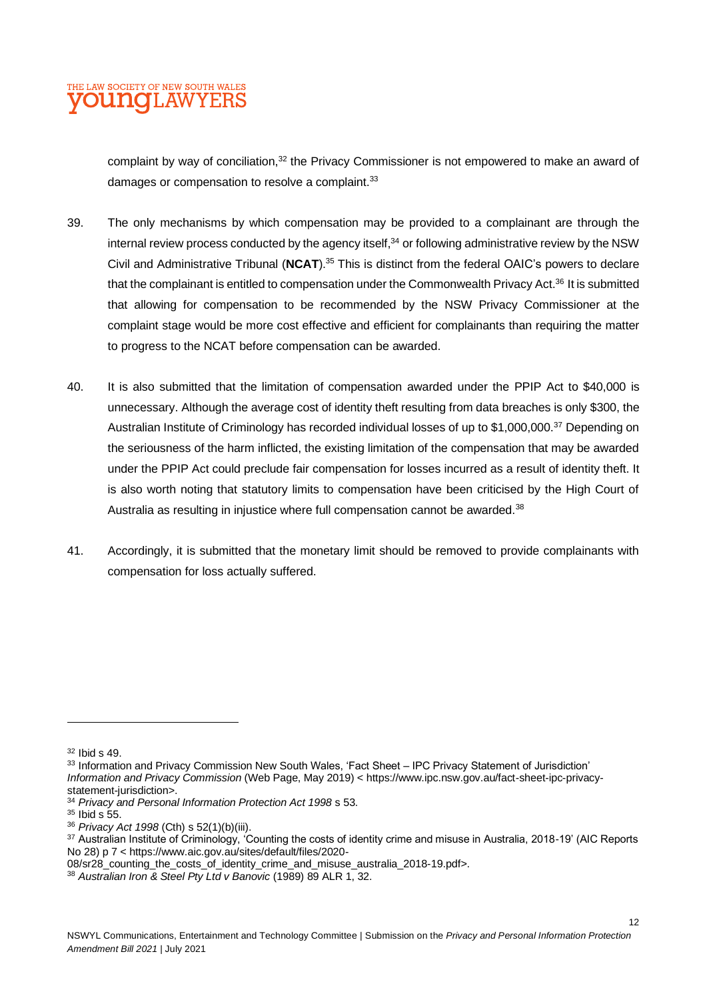

complaint by way of conciliation,<sup>32</sup> the Privacy Commissioner is not empowered to make an award of damages or compensation to resolve a complaint.<sup>33</sup>

- 39. The only mechanisms by which compensation may be provided to a complainant are through the internal review process conducted by the agency itself. $34$  or following administrative review by the NSW Civil and Administrative Tribunal (**NCAT**). <sup>35</sup> This is distinct from the federal OAIC's powers to declare that the complainant is entitled to compensation under the Commonwealth Privacy Act.<sup>36</sup> It is submitted that allowing for compensation to be recommended by the NSW Privacy Commissioner at the complaint stage would be more cost effective and efficient for complainants than requiring the matter to progress to the NCAT before compensation can be awarded.
- 40. It is also submitted that the limitation of compensation awarded under the PPIP Act to \$40,000 is unnecessary. Although the average cost of identity theft resulting from data breaches is only \$300, the Australian Institute of Criminology has recorded individual losses of up to \$1,000,000.<sup>37</sup> Depending on the seriousness of the harm inflicted, the existing limitation of the compensation that may be awarded under the PPIP Act could preclude fair compensation for losses incurred as a result of identity theft. It is also worth noting that statutory limits to compensation have been criticised by the High Court of Australia as resulting in injustice where full compensation cannot be awarded. $38$
- 41. Accordingly, it is submitted that the monetary limit should be removed to provide complainants with compensation for loss actually suffered.

33 Information and Privacy Commission New South Wales, 'Fact Sheet - IPC Privacy Statement of Jurisdiction' *Information and Privacy Commission* (Web Page, May 2019) < https://www.ipc.nsw.gov.au/fact-sheet-ipc-privacystatement-jurisdiction>.

 $35$  Ibid s 55.

12

<sup>32</sup> Ibid s 49.

<sup>34</sup> *Privacy and Personal Information Protection Act 1998* s 53.

<sup>36</sup> *Privacy Act 1998* (Cth) s 52(1)(b)(iii).

<sup>&</sup>lt;sup>37</sup> Australian Institute of Criminology, 'Counting the costs of identity crime and misuse in Australia, 2018-19' (AIC Reports No 28) p 7 < https://www.aic.gov.au/sites/default/files/2020-

<sup>08/</sup>sr28\_counting\_the\_costs\_of\_identity\_crime\_and\_misuse\_australia\_2018-19.pdf>.

<sup>38</sup> *Australian Iron & Steel Pty Ltd v Banovic* (1989) 89 ALR 1, 32.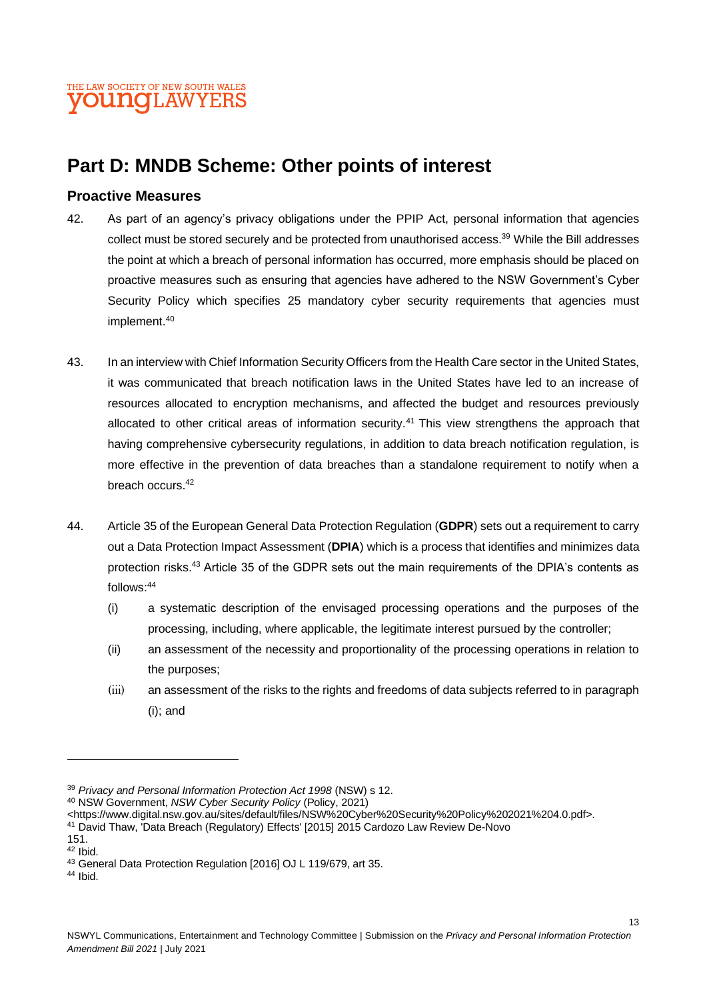# **Part D: MNDB Scheme: Other points of interest**

#### **Proactive Measures**

- 42. As part of an agency's privacy obligations under the PPIP Act, personal information that agencies collect must be stored securely and be protected from unauthorised access.<sup>39</sup> While the Bill addresses the point at which a breach of personal information has occurred, more emphasis should be placed on proactive measures such as ensuring that agencies have adhered to the NSW Government's Cyber Security Policy which specifies 25 mandatory cyber security requirements that agencies must implement. 40
- 43. In an interview with Chief Information Security Officers from the Health Care sector in the United States, it was communicated that breach notification laws in the United States have led to an increase of resources allocated to encryption mechanisms, and affected the budget and resources previously allocated to other critical areas of information security.<sup>41</sup> This view strengthens the approach that having comprehensive cybersecurity regulations, in addition to data breach notification regulation, is more effective in the prevention of data breaches than a standalone requirement to notify when a breach occurs.<sup>42</sup>
- 44. Article 35 of the European General Data Protection Regulation (**GDPR**) sets out a requirement to carry out a Data Protection Impact Assessment (**DPIA**) which is a process that identifies and minimizes data protection risks.<sup>43</sup> Article 35 of the GDPR sets out the main requirements of the DPIA's contents as follows: 44
	- (i) a systematic description of the envisaged processing operations and the purposes of the processing, including, where applicable, the legitimate interest pursued by the controller;
	- (ii) an assessment of the necessity and proportionality of the processing operations in relation to the purposes;
	- (iii) an assessment of the risks to the rights and freedoms of data subjects referred to in paragraph (i); and

<sup>39</sup> *Privacy and Personal Information Protection Act 1998* (NSW) s 12.

<sup>40</sup> NSW Government, *NSW Cyber Security Policy* (Policy, 2021)

<sup>&</sup>lt;https://www.digital.nsw.gov.au/sites/default/files/NSW%20Cyber%20Security%20Policy%202021%204.0.pdf>.

<sup>41</sup> David Thaw, 'Data Breach (Regulatory) Effects' [2015] 2015 Cardozo Law Review De-Novo

<sup>151.</sup>  $42$  Ibid.

<sup>43</sup> General Data Protection Regulation [2016] OJ L 119/679, art 35.

<sup>44</sup> Ibid.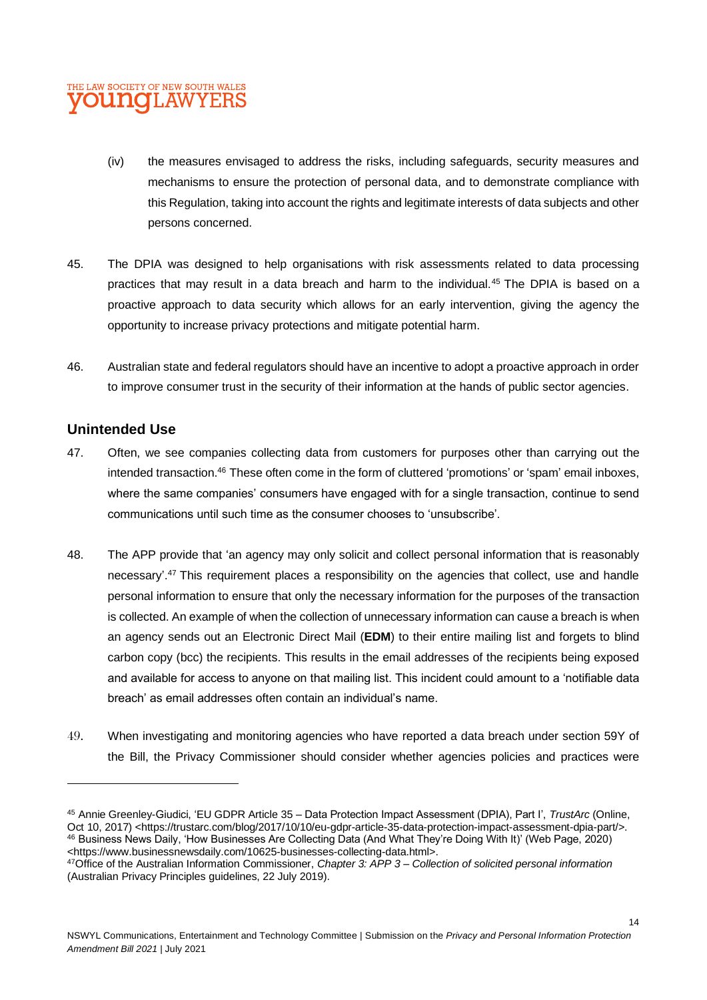### THE LAW SOCIETY OF NEW SOUTH WALES **VOUNGLAWYERS**

- (iv) the measures envisaged to address the risks, including safeguards, security measures and mechanisms to ensure the protection of personal data, and to demonstrate compliance with this Regulation, taking into account the rights and legitimate interests of data subjects and other persons concerned.
- 45. The DPIA was designed to help organisations with risk assessments related to data processing practices that may result in a data breach and harm to the individual.<sup>45</sup> The DPIA is based on a proactive approach to data security which allows for an early intervention, giving the agency the opportunity to increase privacy protections and mitigate potential harm.
- 46. Australian state and federal regulators should have an incentive to adopt a proactive approach in order to improve consumer trust in the security of their information at the hands of public sector agencies.

#### **Unintended Use**

- 47. Often, we see companies collecting data from customers for purposes other than carrying out the intended transaction.<sup>46</sup> These often come in the form of cluttered 'promotions' or 'spam' email inboxes, where the same companies' consumers have engaged with for a single transaction, continue to send communications until such time as the consumer chooses to 'unsubscribe'.
- 48. The APP provide that 'an agency may only solicit and collect personal information that is reasonably necessary'.<sup>47</sup> This requirement places a responsibility on the agencies that collect, use and handle personal information to ensure that only the necessary information for the purposes of the transaction is collected. An example of when the collection of unnecessary information can cause a breach is when an agency sends out an Electronic Direct Mail (**EDM**) to their entire mailing list and forgets to blind carbon copy (bcc) the recipients. This results in the email addresses of the recipients being exposed and available for access to anyone on that mailing list. This incident could amount to a 'notifiable data breach' as email addresses often contain an individual's name.
- 49. When investigating and monitoring agencies who have reported a data breach under section 59Y of the Bill, the Privacy Commissioner should consider whether agencies policies and practices were

<sup>45</sup> Annie Greenley-Giudici, 'EU GDPR Article 35 – Data Protection Impact Assessment (DPIA), Part I', *TrustArc* (Online, Oct 10, 2017) <https://trustarc.com/blog/2017/10/10/eu-gdpr-article-35-data-protection-impact-assessment-dpia-part/>. <sup>46</sup> Business News Daily, 'How Businesses Are Collecting Data (And What They're Doing With It)' (Web Page, 2020) <https://www.businessnewsdaily.com/10625-businesses-collecting-data.html>.

<sup>47</sup>Office of the Australian Information Commissioner, *Chapter 3: APP 3 – Collection of solicited personal information* (Australian Privacy Principles guidelines, 22 July 2019).